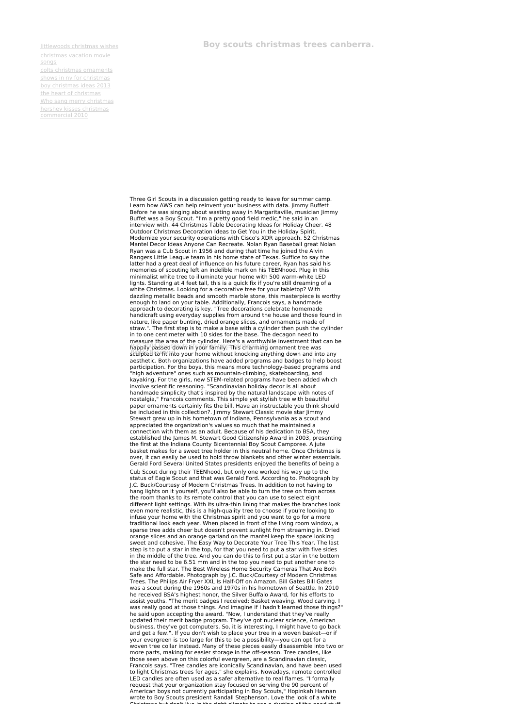[littlewoods](http://foto-ms.pl/detail/news/308520/chrismas/) christmas wishes [christmas](http://foto-ms.pl/detail/news/911343/chrismas/) vacation movie songs

## colts christmas [ornaments](http://foto-ms.pl/detail/news/751375/chrismas/) shows in ny for [christmas](http://foto-ms.pl/detail/news/527416/chrismas/) boy [christmas](http://foto-ms.pl/detail/news/252833/chrismas/) ideas 2013 the heart of [christmas](http://foto-ms.pl/detail/news/747329/chrismas/) Who sang merry [christmas](http://foto-ms.pl/detail/news/068016/chrismas/) hershey kisses christmas [commercial](http://foto-ms.pl/detail/news/769459/chrismas/) 2010

**Boy scouts christmas trees canberra.**

Three Girl Scouts in a discussion getting ready to leave for summer camp. Learn how AWS can help reinvent your business with data. Jimmy Buffett<br>Before he was singing about wasting away in Margaritaville, musician Jimmy<br>Buffet was a Boy Scout. "I'm a pretty good field medic," he said in an<br>inter Modernize your security operations with Cisco's XDR approach. 52 Christmas Mantel Decor Ideas Anyone Can Recreate. Nolan Ryan Baseball great Nolan<br>Ryan was a Cub Scout in 1956 and during that time he joined the Alvin<br>Rangers Little League team in his home state of Texas. Suffice to say the latter had a great deal of influence on his future career, Ryan has said his<br>memories of scouting left an indelible mark on his TEENhood. Plug in this minimalist white tree to illuminate your home with 500 warm-white LED lights. Standing at 4 feet tall, this is a quick fix if you're still dreaming of a white Christmas. Looking for a decorative tree for your tabletop? With dazzling metallic beads and smooth marble stone, this masterpiece is worthy enough to land on your table. Additionally, Francois says, a handmade approach to decorating is key. "Tree decorations celebrate homemade handicraft using everyday supplies from around the house and those found in nature, like paper bunting, dried orange slices, and ornaments made of straw.". The first step is to make a base with a cylinder then push the cylinder in to one centimeter with 10 sides for the base. The decagon need to measure the area of the cylinder. Here's a worthwhile investment that can be<br>happily passed down in your family. This charming ornament tree was sculpted to fit into your home without knocking anything down and into any aesthetic. Both organizations have added programs and badges to help boost<br>participation. For the boys, this means more technology-based programs and "high adventure" ones such as mountain-climbing, skateboarding, and kayaking. For the girls, new STEM-related programs have been added which involve scientific reasoning. "Scandinavian holiday decor is all about handmade simplicity that's inspired by the natural landscape with notes of nostalgia," Francois comments. This simple yet stylish tree with beautiful paper ornaments certainly fits the bill. Have an instructable you think should be included in this collection?. Jimmy Stewart Classic movie star Jimmy Stewart grew up in his hometown of Indiana, Pennsylvania as a scout and appreciated the organization's values so much that he maintained a connection with them as an adult. Because of his dedication to BSA, they established the James M. Stewart Good Citizenship Award in 2003, presenting the first at the Indiana County Bicentennial Boy Scout Camporee. A jute basket makes for a sweet tree holder in this neutral home. Once Christmas is over, it can easily be used to hold throw blankets and other winter essentials.<br>Gerald Ford Several United States presidents enjoyed the benefits of being a Cub Scout during their TEENhood, but only one worked his way up to the status of Eagle Scout and that was Gerald Ford. According to. Photograph by J.C. Buck/Courtesy of Modern Christmas Trees. In addition to not having to hang lights on it yourself, you'll also be able to turn the tree on from across the room thanks to its remote control that you can use to select eight different light settings. With its ultra-thin lining that makes the branches look even more realistic, this is a high-quality tree to choose if you're looking to infuse your home with the Christmas spirit and you want to go for a more traditional look each year. When placed in front of the living room window, a sparse tree adds cheer but doesn't prevent sunlight from streaming in. Dried orange slices and an orange garland on the mantel keep the space looking sweet and cohesive. The Easy Way to Decorate Your Tree This Year. The last step is to put a star in the top, for that you need to put a star with five sides<br>in the middle of the tree. And you can do this to first put a star in the bottom<br>the star need to be 6.51 mm and in the top you need to put Safe and Affordable. Photograph by J.C. Buck/Courtesy of Modern Christmas<br>Trees. The Philips Air Fryer XXL Is Half-Off on Amazon. Bill Gates Bill Gates<br>was a scout during the 1960s and 1970s in his hometown of Seattle. In he received BSA's highest honor, the Silver Buffalo Award, for his efforts to assist youths. "The merit badges I received: Basket weaving. Wood carving. I<br>was really good at those things. And imagine if I hadn't learned those things?"<br>he said upon accepting the award. "Now, I understand that they've updated their merit badge program. They've got nuclear science, American<br>business, they've got computers. So, it is interesting, I might have to go back<br>and get a few.". If you don't wish to place your tree in a woven bask your evergreen is too large for this to be a possibility—you can opt for a<br>woven tree collar instead. Many of these pieces easily disassemble into two or<br>more parts, making for easier storage in the off-season. Tree candle those seen above on this colorful evergreen, are a Scandinavian classic,<br>Francois says. "Tree candles are iconically Scandinavian, and have been used<br>to light Christmas trees for ages," she explains. Nowadays, remote contr LED candles are often used as a safer alternative to real flames. "I formally request that your organization stay focused on serving the 90 percent of American boys not currently participating in Boy Scouts," Hopinkah Hannan wrote to Boy Scouts president Randall Stephenson. Love the look of a white Christmas but don't live in the good<br>Christmas but don't live in the right climate to see a dusting of the good stuff